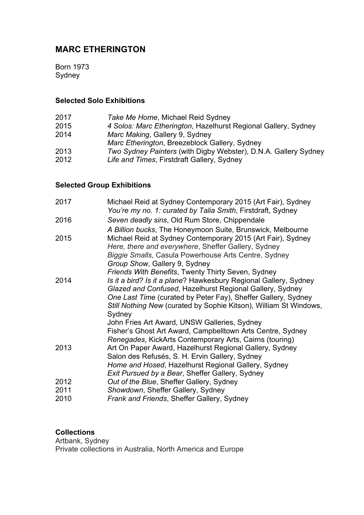# **MARC ETHERINGTON**

Born 1973 Sydney

### **Selected Solo Exhibitions**

- 2017 *Take Me Home*, Michael Reid Sydney
- 2015 *4 Solos: Marc Etherington*, Hazelhurst Regional Gallery, Sydney
- 2014 *Marc Making*, Gallery 9, Sydney
- *Marc Etherington*, Breezeblock Gallery, Sydney
- 2013 *Two Sydney Painters* (with Digby Webster), D.N.A. Gallery Sydney
- Life and Times, Firstdraft Gallery, Sydney

## **Selected Group Exhibitions**

| 2017 | Michael Reid at Sydney Contemporary 2015 (Art Fair), Sydney<br>You're my no. 1: curated by Talia Smith, Firstdraft, Sydney                                                 |
|------|----------------------------------------------------------------------------------------------------------------------------------------------------------------------------|
| 2016 | Seven deadly sins, Old Rum Store, Chippendale                                                                                                                              |
|      | A Billion bucks, The Honeymoon Suite, Brunswick, Melbourne                                                                                                                 |
| 2015 | Michael Reid at Sydney Contemporary 2015 (Art Fair), Sydney<br>Here, there and everywhere, Sheffer Gallery, Sydney<br>Biggie Smalls, Casula Powerhouse Arts Centre, Sydney |
|      | Group Show, Gallery 9, Sydney                                                                                                                                              |
|      | Friends With Benefits, Twenty Thirty Seven, Sydney                                                                                                                         |
| 2014 | Is it a bird? Is it a plane? Hawkesbury Regional Gallery, Sydney                                                                                                           |
|      | Glazed and Confused, Hazelhurst Regional Gallery, Sydney                                                                                                                   |
|      | One Last Time (curated by Peter Fay), Sheffer Gallery, Sydney                                                                                                              |
|      | Still Nothing New (curated by Sophie Kitson), William St Windows,                                                                                                          |
|      | Sydney<br>John Fries Art Award, UNSW Galleries, Sydney                                                                                                                     |
|      | Fisher's Ghost Art Award, Campbelltown Arts Centre, Sydney                                                                                                                 |
|      | Renegades, KickArts Contemporary Arts, Cairns (touring)                                                                                                                    |
| 2013 | Art On Paper Award, Hazelhurst Regional Gallery, Sydney                                                                                                                    |
|      | Salon des Refusés, S. H. Ervin Gallery, Sydney                                                                                                                             |
|      | Home and Hosed, Hazelhurst Regional Gallery, Sydney                                                                                                                        |
|      | Exit Pursued by a Bear, Sheffer Gallery, Sydney                                                                                                                            |
| 2012 | Out of the Blue, Sheffer Gallery, Sydney                                                                                                                                   |
| 2011 | Showdown, Sheffer Gallery, Sydney                                                                                                                                          |
| 2010 | Frank and Friends, Sheffer Gallery, Sydney                                                                                                                                 |

### **Collections**

Artbank, Sydney Private collections in Australia, North America and Europe